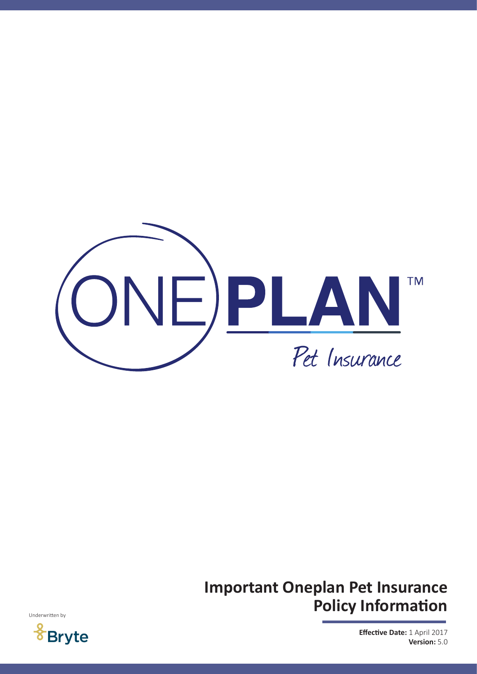

# **Important Oneplan Pet Insurance Policy Information**



**Effective Date:** 1 April 2017 **Version:** 5.0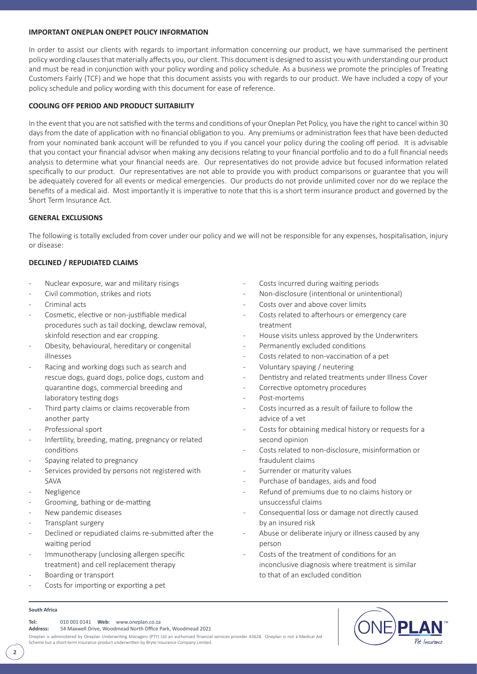## **IMPORTANT ONEPLAN ONEPET POLICY INFORMATION**

In order to assist our clients with regards to important information concerning our product, we have summarised the pertinent policy wording clauses that materially affects you, our client. This document is designed to assist you with understanding our product and must be read in conjunction with your policy wording and policy schedule. As a business we promote the principles of Treating Customers Fairly (TCF) and we hope that this document assists you with regards to our product. We have included a copy of your policy schedule and policy wording with this document for ease of reference.

# **COOLING OFF PERIOD AND PRODUCT SUITABILITY**

In the event that you are not satisfied with the terms and conditions of your Oneplan Pet Policy, you have the right to cancel within 30 days from the date of application with no financial obligation to you. Any premiums or administration fees that have been deducted from your nominated bank account will be refunded to you if you cancel your policy during the cooling off period. It is advisable that you contact your financial advisor when making any decisions relating to your financial portfolio and to do a full financial needs analysis to determine what your financial needs are. Our representatives do not provide advice but focused information related specifically to our product. Our representatives are not able to provide you with product comparisons or guarantee that you will be adequately covered for all events or medical emergencies. Our products do not provide unlimited cover nor do we replace the benefits of a medical aid. Most importantly it is imperative to note that this is a short term insurance product and governed by the Short Term Insurance Act.

## **GENERAL EXCLUSIONS**

The following is totally excluded from cover under our policy and we will not be responsible for any expenses, hospitalisation, injury or disease:

# **DECLINED / REPUDIATED CLAIMS**

- Nuclear exposure, war and military risings
- Civil commotion, strikes and riots
- Criminal acts
- Cosmetic, elective or non-justifiable medical procedures such as tail docking, dewclaw removal, skinfold resection and ear cropping.
- Obesity, behavioural, hereditary or congenital illnesses
- Racing and working dogs such as search and rescue dogs, guard dogs, police dogs, custom and quarantine dogs, commercial breeding and laboratory testing dogs
- Third party claims or claims recoverable from another party
- Professional sport
- Infertility, breeding, mating, pregnancy or related conditions
- Spaying related to pregnancy
- Services provided by persons not registered with SAVA
- **Negligence**
- Grooming, bathing or de-matting
- New pandemic diseases
- Transplant surgery
- Declined or repudiated claims re-submitted after the waiting period
- Immunotherapy (unclosing allergen specific treatment) and cell replacement therapy
- Boarding or transport
- Costs for importing or exporting a pet

# Costs incurred during waiting periods

- Non-disclosure (intentional or unintentional)
- Costs over and above cover limits
- Costs related to afterhours or emergency care treatment
- House visits unless approved by the Underwriters
- Permanently excluded conditions
- Costs related to non-vaccination of a pet
- Voluntary spaying / neutering
- Dentistry and related treatments under Illness Cover
- Corrective optometry procedures
- Post-mortems
- Costs incurred as a result of failure to follow the advice of a vet
- Costs for obtaining medical history or requests for a second opinion
- Costs related to non-disclosure, misinformation or fraudulent claims
- Surrender or maturity values
- Purchase of bandages, aids and food
- Refund of premiums due to no claims history or unsuccessful claims
- Consequential loss or damage not directly caused by an insured risk
- Abuse or deliberate injury or illness caused by any person
- Costs of the treatment of conditions for an inconclusive diagnosis where treatment is similar to that of an excluded condition



**Tel:** 010 001 0141 **Web:** www.oneplan.co.za

**Address:** 54 Maxwell Drive, Woodmead North Office Park, Woodmead 2021

Oneplan is administered by Oneplan Underwriting Managers (PTY) Ltd an authorised financial services provider 43628. Oneplan is not a Medical Aid Scheme but a short-term insurance product underwritten by Bryte Insurance Company Limited.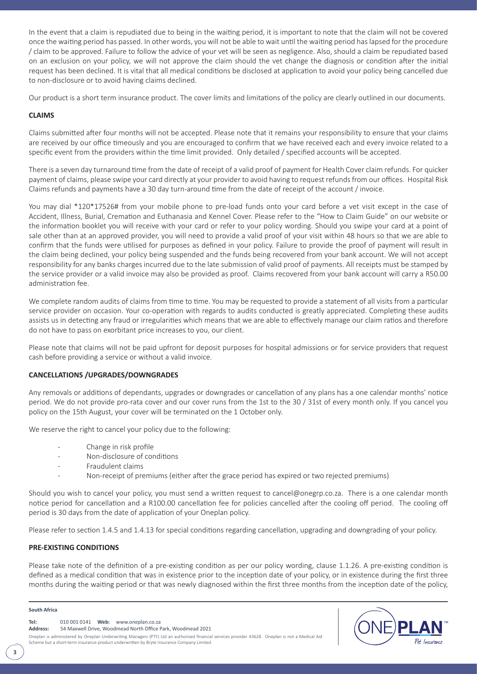In the event that a claim is repudiated due to being in the waiting period, it is important to note that the claim will not be covered once the waiting period has passed. In other words, you will not be able to wait until the waiting period has lapsed for the procedure / claim to be approved. Failure to follow the advice of your vet will be seen as negligence. Also, should a claim be repudiated based on an exclusion on your policy, we will not approve the claim should the vet change the diagnosis or condition after the initial request has been declined. It is vital that all medical conditions be disclosed at application to avoid your policy being cancelled due to non-disclosure or to avoid having claims declined.

Our product is a short term insurance product. The cover limits and limitations of the policy are clearly outlined in our documents.

## **CLAIMS**

Claims submitted after four months will not be accepted. Please note that it remains your responsibility to ensure that your claims are received by our office timeously and you are encouraged to confirm that we have received each and every invoice related to a specific event from the providers within the time limit provided. Only detailed / specified accounts will be accepted.

There is a seven day turnaround time from the date of receipt of a valid proof of payment for Health Cover claim refunds. For quicker payment of claims, please swipe your card directly at your provider to avoid having to request refunds from our offices. Hospital Risk Claims refunds and payments have a 30 day turn-around time from the date of receipt of the account / invoice.

You may dial \*120\*17526# from your mobile phone to pre-load funds onto your card before a vet visit except in the case of Accident, Illness, Burial, Cremation and Euthanasia and Kennel Cover. Please refer to the "How to Claim Guide" on our website or the information booklet you will receive with your card or refer to your policy wording. Should you swipe your card at a point of sale other than at an approved provider, you will need to provide a valid proof of your visit within 48 hours so that we are able to confirm that the funds were utilised for purposes as defined in your policy. Failure to provide the proof of payment will result in the claim being declined, your policy being suspended and the funds being recovered from your bank account. We will not accept responsibility for any banks charges incurred due to the late submission of valid proof of payments. All receipts must be stamped by the service provider or a valid invoice may also be provided as proof. Claims recovered from your bank account will carry a R50.00 administration fee.

We complete random audits of claims from time to time. You may be requested to provide a statement of all visits from a particular service provider on occasion. Your co-operation with regards to audits conducted is greatly appreciated. Completing these audits assists us in detecting any fraud or irregularities which means that we are able to effectively manage our claim ratios and therefore do not have to pass on exorbitant price increases to you, our client.

Please note that claims will not be paid upfront for deposit purposes for hospital admissions or for service providers that request cash before providing a service or without a valid invoice.

## **CANCELLATIONS /UPGRADES/DOWNGRADES**

Any removals or additions of dependants, upgrades or downgrades or cancellation of any plans has a one calendar months' notice period. We do not provide pro-rata cover and our cover runs from the 1st to the 30 / 31st of every month only. If you cancel you policy on the 15th August, your cover will be terminated on the 1 October only.

We reserve the right to cancel your policy due to the following:

- Change in risk profile
- Non-disclosure of conditions
- Fraudulent claims
	- Non-receipt of premiums (either after the grace period has expired or two rejected premiums)

Should you wish to cancel your policy, you must send a written request to cancel@onegrp.co.za. There is a one calendar month notice period for cancellation and a R100.00 cancellation fee for policies cancelled after the cooling off period. The cooling off period is 30 days from the date of application of your Oneplan policy.

Please refer to section 1.4.5 and 1.4.13 for special conditions regarding cancellation, upgrading and downgrading of your policy.

## **PRE-EXISTING CONDITIONS**

Please take note of the definition of a pre-existing condition as per our policy wording, clause 1.1.26. A pre-existing condition is defined as a medical condition that was in existence prior to the inception date of your policy, or in existence during the first three months during the waiting period or that was newly diagnosed within the first three months from the inception date of the policy,

#### **South Africa**

Oneplan is administered by Oneplan Underwriting Managers (PTY) Ltd an authorised financial services provider 43628. Oneplan is not a Medical Aid Scheme but a short-term insurance product underwritten by Bryte Insurance Company Limited. **Tel:** 010 001 0141 **Web:** www.oneplan.co.za **Address:** 54 Maxwell Drive, Woodmead North Office Park, Woodmead 2021

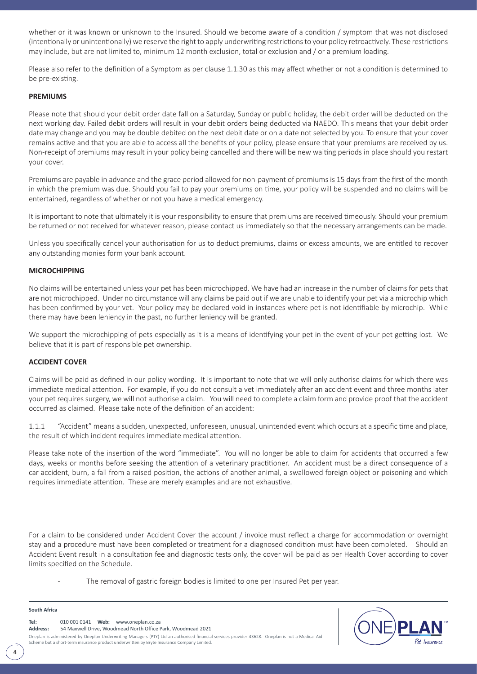whether or it was known or unknown to the Insured. Should we become aware of a condition / symptom that was not disclosed (intentionally or unintentionally) we reserve the right to apply underwriting restrictions to your policy retroactively. These restrictions may include, but are not limited to, minimum 12 month exclusion, total or exclusion and / or a premium loading.

Please also refer to the definition of a Symptom as per clause 1.1.30 as this may affect whether or not a condition is determined to be pre-existing.

#### **PREMIUMS**

Please note that should your debit order date fall on a Saturday, Sunday or public holiday, the debit order will be deducted on the next working day. Failed debit orders will result in your debit orders being deducted via NAEDO. This means that your debit order date may change and you may be double debited on the next debit date or on a date not selected by you. To ensure that your cover remains active and that you are able to access all the benefits of your policy, please ensure that your premiums are received by us. Non-receipt of premiums may result in your policy being cancelled and there will be new waiting periods in place should you restart your cover.

Premiums are payable in advance and the grace period allowed for non-payment of premiums is 15 days from the first of the month in which the premium was due. Should you fail to pay your premiums on time, your policy will be suspended and no claims will be entertained, regardless of whether or not you have a medical emergency.

It is important to note that ultimately it is your responsibility to ensure that premiums are received timeously. Should your premium be returned or not received for whatever reason, please contact us immediately so that the necessary arrangements can be made.

Unless you specifically cancel your authorisation for us to deduct premiums, claims or excess amounts, we are entitled to recover any outstanding monies form your bank account.

#### **MICROCHIPPING**

No claims will be entertained unless your pet has been microchipped. We have had an increase in the number of claims for pets that are not microchipped. Under no circumstance will any claims be paid out if we are unable to identify your pet via a microchip which has been confirmed by your vet. Your policy may be declared void in instances where pet is not identifiable by microchip. While there may have been leniency in the past, no further leniency will be granted.

We support the microchipping of pets especially as it is a means of identifying your pet in the event of your pet getting lost. We believe that it is part of responsible pet ownership.

#### **ACCIDENT COVER**

Claims will be paid as defined in our policy wording. It is important to note that we will only authorise claims for which there was immediate medical attention. For example, if you do not consult a vet immediately after an accident event and three months later your pet requires surgery, we will not authorise a claim. You will need to complete a claim form and provide proof that the accident occurred as claimed. Please take note of the definition of an accident:

1.1.1 "Accident" means a sudden, unexpected, unforeseen, unusual, unintended event which occurs at a specific time and place, the result of which incident requires immediate medical attention.

Please take note of the insertion of the word "immediate". You will no longer be able to claim for accidents that occurred a few days, weeks or months before seeking the attention of a veterinary practitioner. An accident must be a direct consequence of a car accident, burn, a fall from a raised position, the actions of another animal, a swallowed foreign object or poisoning and which requires immediate attention. These are merely examples and are not exhaustive.

For a claim to be considered under Accident Cover the account / invoice must reflect a charge for accommodation or overnight stay and a procedure must have been completed or treatment for a diagnosed condition must have been completed. Should an Accident Event result in a consultation fee and diagnostic tests only, the cover will be paid as per Health Cover according to cover limits specified on the Schedule.

The removal of gastric foreign bodies is limited to one per Insured Pet per year.

Oneplan is administered by Oneplan Underwriting Managers (PTY) Ltd an authorised financial services provider 43628. Oneplan is not a Medical Aid Scheme but a short-term insurance product underwritten by Bryte Insurance Company Limited. **Tel:** 010 001 0141 **Web:** www.oneplan.co.za **Address:** 54 Maxwell Drive, Woodmead North Office Park, Woodmead 2021



**4**

**South Africa**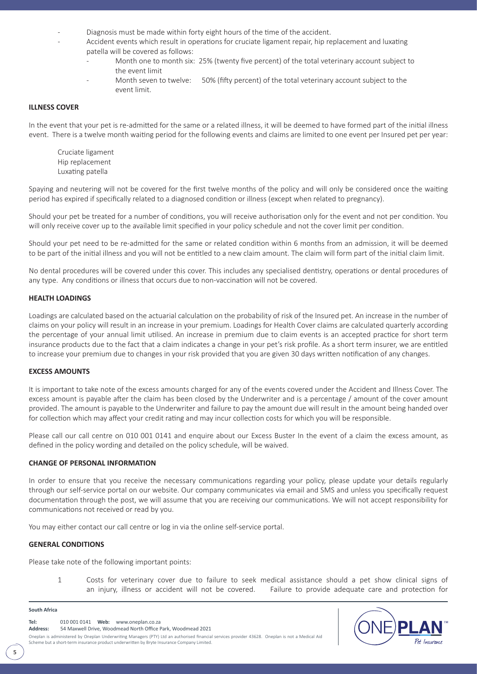- Diagnosis must be made within forty eight hours of the time of the accident.
	- Accident events which result in operations for cruciate ligament repair, hip replacement and luxating patella will be covered as follows:
		- Month one to month six: 25% (twenty five percent) of the total veterinary account subject to the event limit
		- Month seven to twelve: 50% (fifty percent) of the total veterinary account subject to the event limit.

#### **ILLNESS COVER**

In the event that your pet is re-admitted for the same or a related illness, it will be deemed to have formed part of the initial illness event. There is a twelve month waiting period for the following events and claims are limited to one event per Insured pet per year:

Cruciate ligament Hip replacement Luxating patella

Spaying and neutering will not be covered for the first twelve months of the policy and will only be considered once the waiting period has expired if specifically related to a diagnosed condition or illness (except when related to pregnancy).

Should your pet be treated for a number of conditions, you will receive authorisation only for the event and not per condition. You will only receive cover up to the available limit specified in your policy schedule and not the cover limit per condition.

Should your pet need to be re-admitted for the same or related condition within 6 months from an admission, it will be deemed to be part of the initial illness and you will not be entitled to a new claim amount. The claim will form part of the initial claim limit.

No dental procedures will be covered under this cover. This includes any specialised dentistry, operations or dental procedures of any type. Any conditions or illness that occurs due to non-vaccination will not be covered.

#### **HEALTH LOADINGS**

Loadings are calculated based on the actuarial calculation on the probability of risk of the Insured pet. An increase in the number of claims on your policy will result in an increase in your premium. Loadings for Health Cover claims are calculated quarterly according the percentage of your annual limit utilised. An increase in premium due to claim events is an accepted practice for short term insurance products due to the fact that a claim indicates a change in your pet's risk profile. As a short term insurer, we are entitled to increase your premium due to changes in your risk provided that you are given 30 days written notification of any changes.

#### **EXCESS AMOUNTS**

It is important to take note of the excess amounts charged for any of the events covered under the Accident and Illness Cover. The excess amount is payable after the claim has been closed by the Underwriter and is a percentage / amount of the cover amount provided. The amount is payable to the Underwriter and failure to pay the amount due will result in the amount being handed over for collection which may affect your credit rating and may incur collection costs for which you will be responsible.

Please call our call centre on 010 001 0141 and enquire about our Excess Buster In the event of a claim the excess amount, as defined in the policy wording and detailed on the policy schedule, will be waived.

## **CHANGE OF PERSONAL INFORMATION**

In order to ensure that you receive the necessary communications regarding your policy, please update your details regularly through our self-service portal on our website. Our company communicates via email and SMS and unless you specifically request documentation through the post, we will assume that you are receiving our communications. We will not accept responsibility for communications not received or read by you.

You may either contact our call centre or log in via the online self-service portal.

#### **GENERAL CONDITIONS**

Please take note of the following important points:

1 Costs for veterinary cover due to failure to seek medical assistance should a pet show clinical signs of an injury, illness or accident will not be covered. Failure to provide adequate care and protection for

#### **South Africa**

**5**

**Tel:** 010 001 0141 **Web:** www.oneplan.co.za **Address:** 54 Maxwell Drive, Woodmead North Office Park, Woodmead 2021